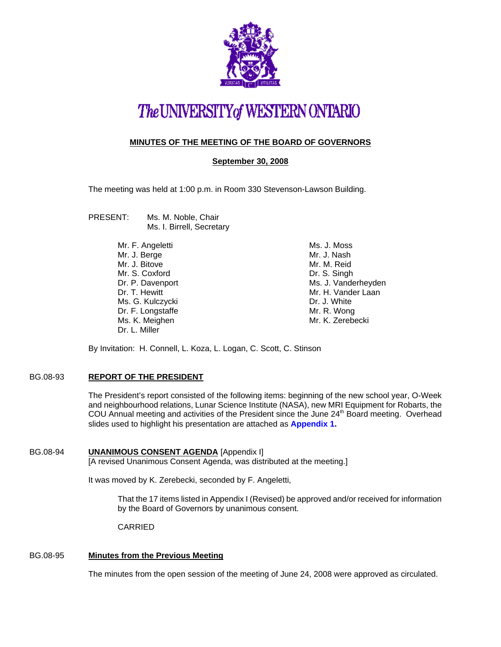

# The UNIVERSITY of WESTERN ONTARIO

# **MINUTES OF THE MEETING OF THE BOARD OF GOVERNORS**

**September 30, 2008**

The meeting was held at 1:00 p.m. in Room 330 Stevenson-Lawson Building.

- PRESENT: Ms. M. Noble, Chair Ms. I. Birrell, Secretary
	- Mr. F. Angeletti Mr. J. Berge Mr. J. Bitove Mr. S. Coxford Dr. P. Davenport Dr. T. Hewitt Ms. G. Kulczycki Dr. F. Longstaffe Ms. K. Meighen Dr. L. Miller

Ms. J. Moss Mr. J. Nash Mr. M. Reid Dr. S. Singh Ms. J. Vanderheyden Mr. H. Vander Laan Dr. J. White Mr. R. Wong Mr. K. Zerebecki

By Invitation: H. Connell, L. Koza, L. Logan, C. Scott, C. Stinson

# BG.08-93 **REPORT OF THE PRESIDENT**

The President's report consisted of the following items: beginning of the new school year, O-Week and neighbourhood relations, Lunar Science Institute (NASA), new MRI Equipment for Robarts, the COU Annual meeting and activities of the President since the June 24<sup>th</sup> Board meeting. Overhead slides used to highlight his presentation are attached as **Appendix 1.** 

BG.08-94 **UNANIMOUS CONSENT AGENDA** [Appendix I] [A revised Unanimous Consent Agenda, was distributed at the meeting.]

It was moved by K. Zerebecki, seconded by F. Angeletti,

That the 17 items listed in Appendix I (Revised) be approved and/or received for information by the Board of Governors by unanimous consent.

CARRIED

# BG.08-95 **Minutes from the Previous Meeting**

The minutes from the open session of the meeting of June 24, 2008 were approved as circulated.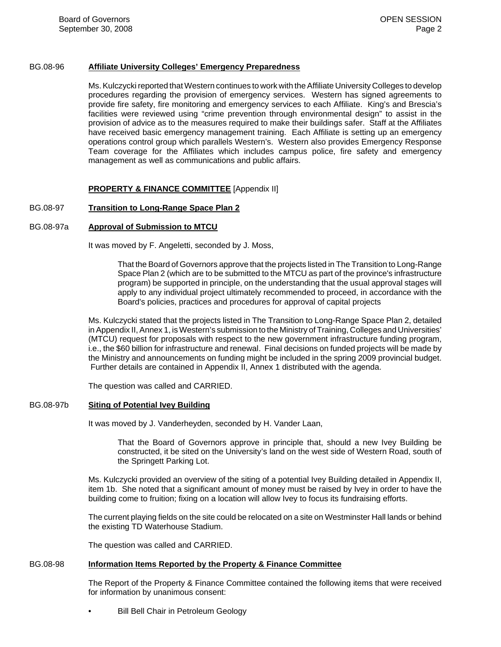# BG.08-96 **Affiliate University Colleges' Emergency Preparedness**

Ms. Kulczycki reported that Western continues to work with the Affiliate University Colleges to develop procedures regarding the provision of emergency services. Western has signed agreements to provide fire safety, fire monitoring and emergency services to each Affiliate. King's and Brescia's facilities were reviewed using "crime prevention through environmental design" to assist in the provision of advice as to the measures required to make their buildings safer. Staff at the Affiliates have received basic emergency management training. Each Affiliate is setting up an emergency operations control group which parallels Western's. Western also provides Emergency Response Team coverage for the Affiliates which includes campus police, fire safety and emergency management as well as communications and public affairs.

# **PROPERTY & FINANCE COMMITTEE** [Appendix II]

# BG.08-97 **Transition to Long-Range Space Plan 2**

# BG.08-97a **Approval of Submission to MTCU**

It was moved by F. Angeletti, seconded by J. Moss,

That the Board of Governors approve that the projects listed in The Transition to Long-Range Space Plan 2 (which are to be submitted to the MTCU as part of the province's infrastructure program) be supported in principle, on the understanding that the usual approval stages will apply to any individual project ultimately recommended to proceed, in accordance with the Board's policies, practices and procedures for approval of capital projects

Ms. Kulczycki stated that the projects listed in The Transition to Long-Range Space Plan 2, detailed in Appendix II, Annex 1, is Western's submission to the Ministry of Training, Colleges and Universities' (MTCU) request for proposals with respect to the new government infrastructure funding program, i.e., the \$60 billion for infrastructure and renewal. Final decisions on funded projects will be made by the Ministry and announcements on funding might be included in the spring 2009 provincial budget. Further details are contained in Appendix II, Annex 1 distributed with the agenda.

The question was called and CARRIED.

#### BG.08-97b **Siting of Potential Ivey Building**

It was moved by J. Vanderheyden, seconded by H. Vander Laan,

That the Board of Governors approve in principle that, should a new Ivey Building be constructed, it be sited on the University's land on the west side of Western Road, south of the Springett Parking Lot.

Ms. Kulczycki provided an overview of the siting of a potential Ivey Building detailed in Appendix II, item 1b. She noted that a significant amount of money must be raised by Ivey in order to have the building come to fruition; fixing on a location will allow Ivey to focus its fundraising efforts.

The current playing fields on the site could be relocated on a site on Westminster Hall lands or behind the existing TD Waterhouse Stadium.

The question was called and CARRIED.

# BG.08-98 **Information Items Reported by the Property & Finance Committee**

The Report of the Property & Finance Committee contained the following items that were received for information by unanimous consent:

• Bill Bell Chair in Petroleum Geology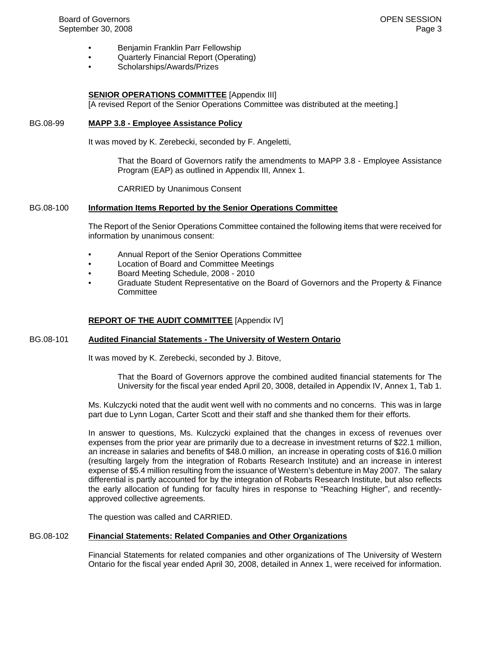- Benjamin Franklin Parr Fellowship
- Quarterly Financial Report (Operating)
- Scholarships/Awards/Prizes

# **SENIOR OPERATIONS COMMITTEE** [Appendix III]

[A revised Report of the Senior Operations Committee was distributed at the meeting.]

# BG.08-99 **MAPP 3.8 - Employee Assistance Policy**

It was moved by K. Zerebecki, seconded by F. Angeletti,

That the Board of Governors ratify the amendments to MAPP 3.8 - Employee Assistance Program (EAP) as outlined in Appendix III, Annex 1.

CARRIED by Unanimous Consent

#### BG.08-100 **Information Items Reported by the Senior Operations Committee**

The Report of the Senior Operations Committee contained the following items that were received for information by unanimous consent:

- Annual Report of the Senior Operations Committee
- Location of Board and Committee Meetings
- Board Meeting Schedule, 2008 2010
- Graduate Student Representative on the Board of Governors and the Property & Finance **Committee**

## **REPORT OF THE AUDIT COMMITTEE** [Appendix IV]

#### BG.08-101 **Audited Financial Statements - The University of Western Ontario**

It was moved by K. Zerebecki, seconded by J. Bitove,

That the Board of Governors approve the combined audited financial statements for The University for the fiscal year ended April 20, 3008, detailed in Appendix IV, Annex 1, Tab 1.

Ms. Kulczycki noted that the audit went well with no comments and no concerns. This was in large part due to Lynn Logan, Carter Scott and their staff and she thanked them for their efforts.

In answer to questions, Ms. Kulczycki explained that the changes in excess of revenues over expenses from the prior year are primarily due to a decrease in investment returns of \$22.1 million, an increase in salaries and benefits of \$48.0 million, an increase in operating costs of \$16.0 million (resulting largely from the integration of Robarts Research Institute) and an increase in interest expense of \$5.4 million resulting from the issuance of Western's debenture in May 2007. The salary differential is partly accounted for by the integration of Robarts Research Institute, but also reflects the early allocation of funding for faculty hires in response to "Reaching Higher", and recentlyapproved collective agreements.

The question was called and CARRIED.

## BG.08-102 **Financial Statements: Related Companies and Other Organizations**

Financial Statements for related companies and other organizations of The University of Western Ontario for the fiscal year ended April 30, 2008, detailed in Annex 1, were received for information.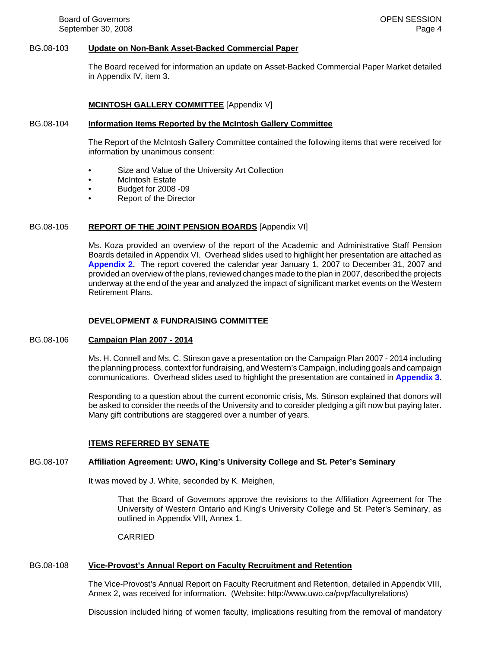## BG.08-103 **Update on Non-Bank Asset-Backed Commercial Paper**

The Board received for information an update on Asset-Backed Commercial Paper Market detailed in Appendix IV, item 3.

### **MCINTOSH GALLERY COMMITTEE** [Appendix V]

#### BG.08-104 **Information Items Reported by the McIntosh Gallery Committee**

The Report of the McIntosh Gallery Committee contained the following items that were received for information by unanimous consent:

- Size and Value of the University Art Collection
- McIntosh Estate
- Budget for 2008 -09
- Report of the Director

### BG.08-105 **REPORT OF THE JOINT PENSION BOARDS** [Appendix VI]

Ms. Koza provided an overview of the report of the Academic and Administrative Staff Pension Boards detailed in Appendix VI. Overhead slides used to highlight her presentation are attached as **Appendix 2.** The report covered the calendar year January 1, 2007 to December 31, 2007 and provided an overview of the plans, reviewed changes made to the plan in 2007, described the projects underway at the end of the year and analyzed the impact of significant market events on the Western Retirement Plans.

## **DEVELOPMENT & FUNDRAISING COMMITTEE**

### BG.08-106 **Campaign Plan 2007 - 2014**

Ms. H. Connell and Ms. C. Stinson gave a presentation on the Campaign Plan 2007 - 2014 including the planning process, context for fundraising, and Western's Campaign, including goals and campaign communications. Overhead slides used to highlight the presentation are contained in **Appendix 3.**

Responding to a question about the current economic crisis, Ms. Stinson explained that donors will be asked to consider the needs of the University and to consider pledging a gift now but paying later. Many gift contributions are staggered over a number of years.

#### **ITEMS REFERRED BY SENATE**

#### BG.08-107 **Affiliation Agreement: UWO, King's University College and St. Peter's Seminary**

It was moved by J. White, seconded by K. Meighen,

That the Board of Governors approve the revisions to the Affiliation Agreement for The University of Western Ontario and King's University College and St. Peter's Seminary, as outlined in Appendix VIII, Annex 1.

CARRIED

# BG.08-108 **Vice-Provost's Annual Report on Faculty Recruitment and Retention**

The Vice-Provost's Annual Report on Faculty Recruitment and Retention, detailed in Appendix VIII, Annex 2, was received for information. (Website: http://www.uwo.ca/pvp/facultyrelations)

Discussion included hiring of women faculty, implications resulting from the removal of mandatory